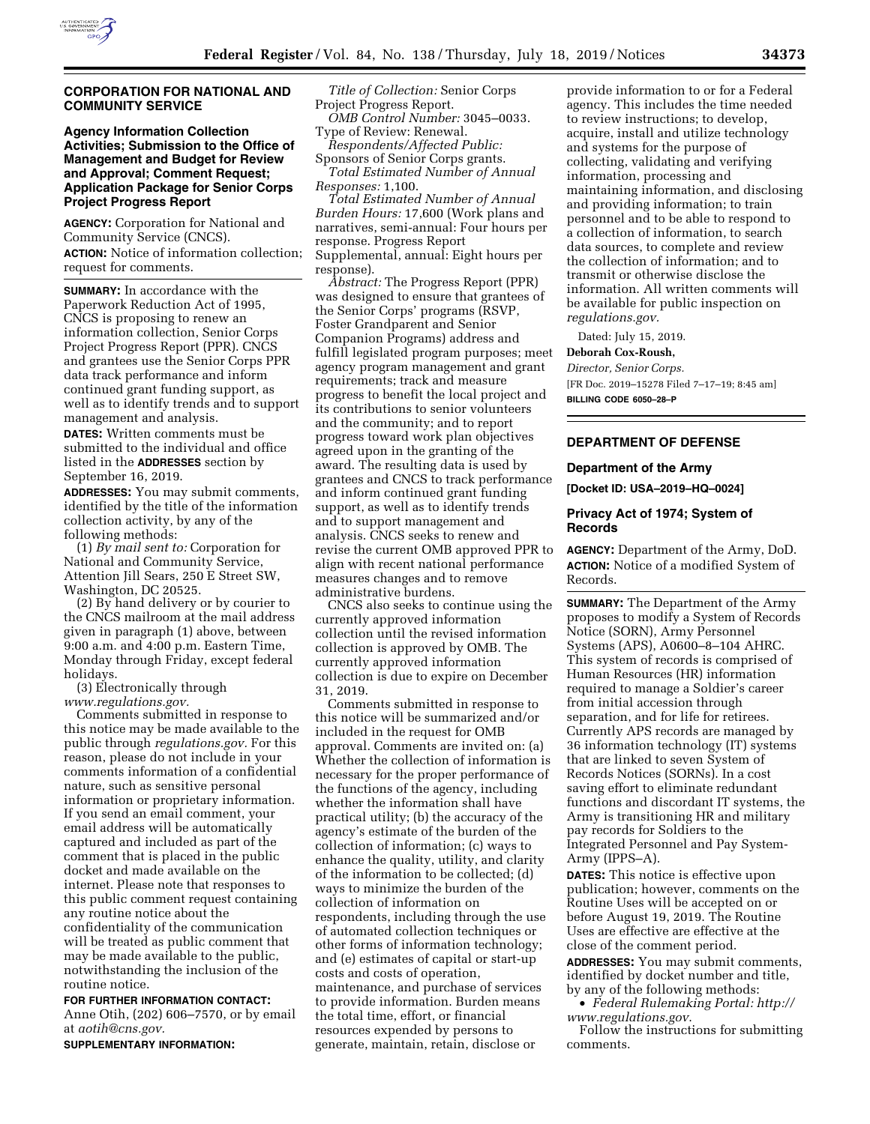

## **CORPORATION FOR NATIONAL AND COMMUNITY SERVICE**

# **Agency Information Collection Activities; Submission to the Office of Management and Budget for Review and Approval; Comment Request; Application Package for Senior Corps Project Progress Report**

**AGENCY:** Corporation for National and Community Service (CNCS). **ACTION:** Notice of information collection; request for comments.

**SUMMARY:** In accordance with the Paperwork Reduction Act of 1995, CNCS is proposing to renew an information collection, Senior Corps Project Progress Report (PPR). CNCS and grantees use the Senior Corps PPR data track performance and inform continued grant funding support, as well as to identify trends and to support management and analysis.

**DATES:** Written comments must be submitted to the individual and office listed in the **ADDRESSES** section by September 16, 2019.

**ADDRESSES:** You may submit comments, identified by the title of the information collection activity, by any of the following methods:

(1) *By mail sent to:* Corporation for National and Community Service, Attention Jill Sears, 250 E Street SW, Washington, DC 20525.

(2) By hand delivery or by courier to the CNCS mailroom at the mail address given in paragraph (1) above, between 9:00 a.m. and 4:00 p.m. Eastern Time, Monday through Friday, except federal holidays.

(3) Electronically through *[www.regulations.gov.](http://www.regulations.gov)* 

Comments submitted in response to this notice may be made available to the public through *regulations.gov.* For this reason, please do not include in your comments information of a confidential nature, such as sensitive personal information or proprietary information. If you send an email comment, your email address will be automatically captured and included as part of the comment that is placed in the public docket and made available on the internet. Please note that responses to this public comment request containing any routine notice about the confidentiality of the communication will be treated as public comment that may be made available to the public, notwithstanding the inclusion of the routine notice.

**FOR FURTHER INFORMATION CONTACT:**  Anne Otih, (202) 606–7570, or by email at *[aotih@cns.gov.](mailto:aotih@cns.gov)* 

**SUPPLEMENTARY INFORMATION:** 

*Title of Collection:* Senior Corps Project Progress Report.

*OMB Control Number:* 3045–0033. Type of Review: Renewal.

*Respondents/Affected Public:*  Sponsors of Senior Corps grants.

*Total Estimated Number of Annual Responses:* 1,100.

*Total Estimated Number of Annual Burden Hours:* 17,600 (Work plans and narratives, semi-annual: Four hours per response. Progress Report Supplemental, annual: Eight hours per response).

*Abstract:* The Progress Report (PPR) was designed to ensure that grantees of the Senior Corps' programs (RSVP, Foster Grandparent and Senior Companion Programs) address and fulfill legislated program purposes; meet agency program management and grant requirements; track and measure progress to benefit the local project and its contributions to senior volunteers and the community; and to report progress toward work plan objectives agreed upon in the granting of the award. The resulting data is used by grantees and CNCS to track performance and inform continued grant funding support, as well as to identify trends and to support management and analysis. CNCS seeks to renew and revise the current OMB approved PPR to align with recent national performance measures changes and to remove administrative burdens.

CNCS also seeks to continue using the currently approved information collection until the revised information collection is approved by OMB. The currently approved information collection is due to expire on December 31, 2019.

Comments submitted in response to this notice will be summarized and/or included in the request for OMB approval. Comments are invited on: (a) Whether the collection of information is necessary for the proper performance of the functions of the agency, including whether the information shall have practical utility; (b) the accuracy of the agency's estimate of the burden of the collection of information; (c) ways to enhance the quality, utility, and clarity of the information to be collected; (d) ways to minimize the burden of the collection of information on respondents, including through the use of automated collection techniques or other forms of information technology; and (e) estimates of capital or start-up costs and costs of operation, maintenance, and purchase of services to provide information. Burden means the total time, effort, or financial resources expended by persons to generate, maintain, retain, disclose or

provide information to or for a Federal agency. This includes the time needed to review instructions; to develop, acquire, install and utilize technology and systems for the purpose of collecting, validating and verifying information, processing and maintaining information, and disclosing and providing information; to train personnel and to be able to respond to a collection of information, to search data sources, to complete and review the collection of information; and to transmit or otherwise disclose the information. All written comments will be available for public inspection on *regulations.gov.* 

Dated: July 15, 2019.

### **Deborah Cox-Roush,**

*Director, Senior Corps.*  [FR Doc. 2019–15278 Filed 7–17–19; 8:45 am] **BILLING CODE 6050–28–P** 

# **DEPARTMENT OF DEFENSE**

## **Department of the Army**

**[Docket ID: USA–2019–HQ–0024]** 

## **Privacy Act of 1974; System of Records**

**AGENCY:** Department of the Army, DoD. **ACTION:** Notice of a modified System of Records.

**SUMMARY:** The Department of the Army proposes to modify a System of Records Notice (SORN), Army Personnel Systems (APS), A0600–8–104 AHRC. This system of records is comprised of Human Resources (HR) information required to manage a Soldier's career from initial accession through separation, and for life for retirees. Currently APS records are managed by 36 information technology (IT) systems that are linked to seven System of Records Notices (SORNs). In a cost saving effort to eliminate redundant functions and discordant IT systems, the Army is transitioning HR and military pay records for Soldiers to the Integrated Personnel and Pay System-Army (IPPS–A).

**DATES:** This notice is effective upon publication; however, comments on the Routine Uses will be accepted on or before August 19, 2019. The Routine Uses are effective are effective at the close of the comment period. **ADDRESSES:** You may submit comments, identified by docket number and title, by any of the following methods:

• *Federal Rulemaking Portal: [http://](http://www.regulations.gov) [www.regulations.gov](http://www.regulations.gov)*.

Follow the instructions for submitting comments.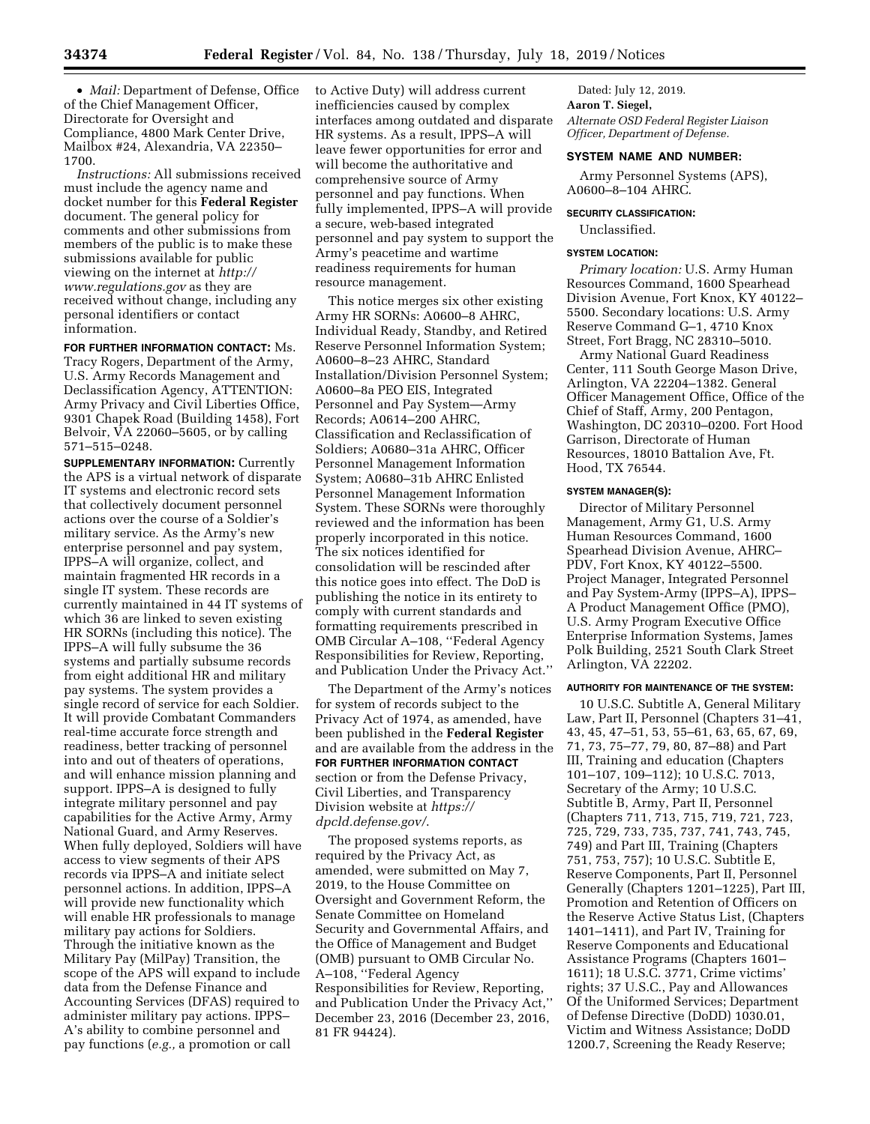• *Mail:* Department of Defense, Office of the Chief Management Officer, Directorate for Oversight and Compliance, 4800 Mark Center Drive, Mailbox #24, Alexandria, VA 22350– 1700.

*Instructions:* All submissions received must include the agency name and docket number for this **Federal Register**  document. The general policy for comments and other submissions from members of the public is to make these submissions available for public viewing on the internet at *[http://](http://www.regulations.gov) [www.regulations.gov](http://www.regulations.gov)* as they are received without change, including any personal identifiers or contact information.

**FOR FURTHER INFORMATION CONTACT:** Ms. Tracy Rogers, Department of the Army, U.S. Army Records Management and Declassification Agency, ATTENTION: Army Privacy and Civil Liberties Office, 9301 Chapek Road (Building 1458), Fort Belvoir, VA 22060–5605, or by calling 571–515–0248.

**SUPPLEMENTARY INFORMATION:** Currently the APS is a virtual network of disparate IT systems and electronic record sets that collectively document personnel actions over the course of a Soldier's military service. As the Army's new enterprise personnel and pay system, IPPS–A will organize, collect, and maintain fragmented HR records in a single IT system. These records are currently maintained in 44 IT systems of which 36 are linked to seven existing HR SORNs (including this notice). The IPPS–A will fully subsume the 36 systems and partially subsume records from eight additional HR and military pay systems. The system provides a single record of service for each Soldier. It will provide Combatant Commanders real-time accurate force strength and readiness, better tracking of personnel into and out of theaters of operations, and will enhance mission planning and support. IPPS–A is designed to fully integrate military personnel and pay capabilities for the Active Army, Army National Guard, and Army Reserves. When fully deployed, Soldiers will have access to view segments of their APS records via IPPS–A and initiate select personnel actions. In addition, IPPS–A will provide new functionality which will enable HR professionals to manage military pay actions for Soldiers. Through the initiative known as the Military Pay (MilPay) Transition, the scope of the APS will expand to include data from the Defense Finance and Accounting Services (DFAS) required to administer military pay actions. IPPS– A's ability to combine personnel and pay functions (*e.g.,* a promotion or call

to Active Duty) will address current inefficiencies caused by complex interfaces among outdated and disparate HR systems. As a result, IPPS–A will leave fewer opportunities for error and will become the authoritative and comprehensive source of Army personnel and pay functions. When fully implemented, IPPS–A will provide a secure, web-based integrated personnel and pay system to support the Army's peacetime and wartime readiness requirements for human resource management.

This notice merges six other existing Army HR SORNs: A0600–8 AHRC, Individual Ready, Standby, and Retired Reserve Personnel Information System; A0600–8–23 AHRC, Standard Installation/Division Personnel System; A0600–8a PEO EIS, Integrated Personnel and Pay System—Army Records; A0614–200 AHRC, Classification and Reclassification of Soldiers; A0680–31a AHRC, Officer Personnel Management Information System; A0680–31b AHRC Enlisted Personnel Management Information System. These SORNs were thoroughly reviewed and the information has been properly incorporated in this notice. The six notices identified for consolidation will be rescinded after this notice goes into effect. The DoD is publishing the notice in its entirety to comply with current standards and formatting requirements prescribed in OMB Circular A–108, ''Federal Agency Responsibilities for Review, Reporting, and Publication Under the Privacy Act.''

The Department of the Army's notices for system of records subject to the Privacy Act of 1974, as amended, have been published in the **Federal Register**  and are available from the address in the **FOR FURTHER INFORMATION CONTACT** section or from the Defense Privacy, Civil Liberties, and Transparency Division website at *[https://](https://dpcld.defense.gov/) [dpcld.defense.gov/](https://dpcld.defense.gov/)*.

The proposed systems reports, as required by the Privacy Act, as amended, were submitted on May 7, 2019, to the House Committee on Oversight and Government Reform, the Senate Committee on Homeland Security and Governmental Affairs, and the Office of Management and Budget (OMB) pursuant to OMB Circular No. A–108, ''Federal Agency Responsibilities for Review, Reporting, and Publication Under the Privacy Act,'' December 23, 2016 (December 23, 2016, 81 FR 94424).

Dated: July 12, 2019. **Aaron T. Siegel,**  *Alternate OSD Federal Register Liaison Officer, Department of Defense.* 

### **SYSTEM NAME AND NUMBER:**

Army Personnel Systems (APS), A0600–8–104 AHRC.

# **SECURITY CLASSIFICATION:**

Unclassified.

#### **SYSTEM LOCATION:**

*Primary location:* U.S. Army Human Resources Command, 1600 Spearhead Division Avenue, Fort Knox, KY 40122– 5500. Secondary locations: U.S. Army Reserve Command G–1, 4710 Knox Street, Fort Bragg, NC 28310–5010.

Army National Guard Readiness Center, 111 South George Mason Drive, Arlington, VA 22204–1382. General Officer Management Office, Office of the Chief of Staff, Army, 200 Pentagon, Washington, DC 20310–0200. Fort Hood Garrison, Directorate of Human Resources, 18010 Battalion Ave, Ft. Hood, TX 76544.

## **SYSTEM MANAGER(S):**

Director of Military Personnel Management, Army G1, U.S. Army Human Resources Command, 1600 Spearhead Division Avenue, AHRC– PDV, Fort Knox, KY 40122–5500. Project Manager, Integrated Personnel and Pay System-Army (IPPS–A), IPPS– A Product Management Office (PMO), U.S. Army Program Executive Office Enterprise Information Systems, James Polk Building, 2521 South Clark Street Arlington, VA 22202.

#### **AUTHORITY FOR MAINTENANCE OF THE SYSTEM:**

10 U.S.C. Subtitle A, General Military Law, Part II, Personnel (Chapters 31–41, 43, 45, 47–51, 53, 55–61, 63, 65, 67, 69, 71, 73, 75–77, 79, 80, 87–88) and Part III, Training and education (Chapters 101–107, 109–112); 10 U.S.C. 7013, Secretary of the Army; 10 U.S.C. Subtitle B, Army, Part II, Personnel (Chapters 711, 713, 715, 719, 721, 723, 725, 729, 733, 735, 737, 741, 743, 745, 749) and Part III, Training (Chapters 751, 753, 757); 10 U.S.C. Subtitle E, Reserve Components, Part II, Personnel Generally (Chapters 1201–1225), Part III, Promotion and Retention of Officers on the Reserve Active Status List, (Chapters 1401–1411), and Part IV, Training for Reserve Components and Educational Assistance Programs (Chapters 1601– 1611); 18 U.S.C. 3771, Crime victims' rights; 37 U.S.C., Pay and Allowances Of the Uniformed Services; Department of Defense Directive (DoDD) 1030.01, Victim and Witness Assistance; DoDD 1200.7, Screening the Ready Reserve;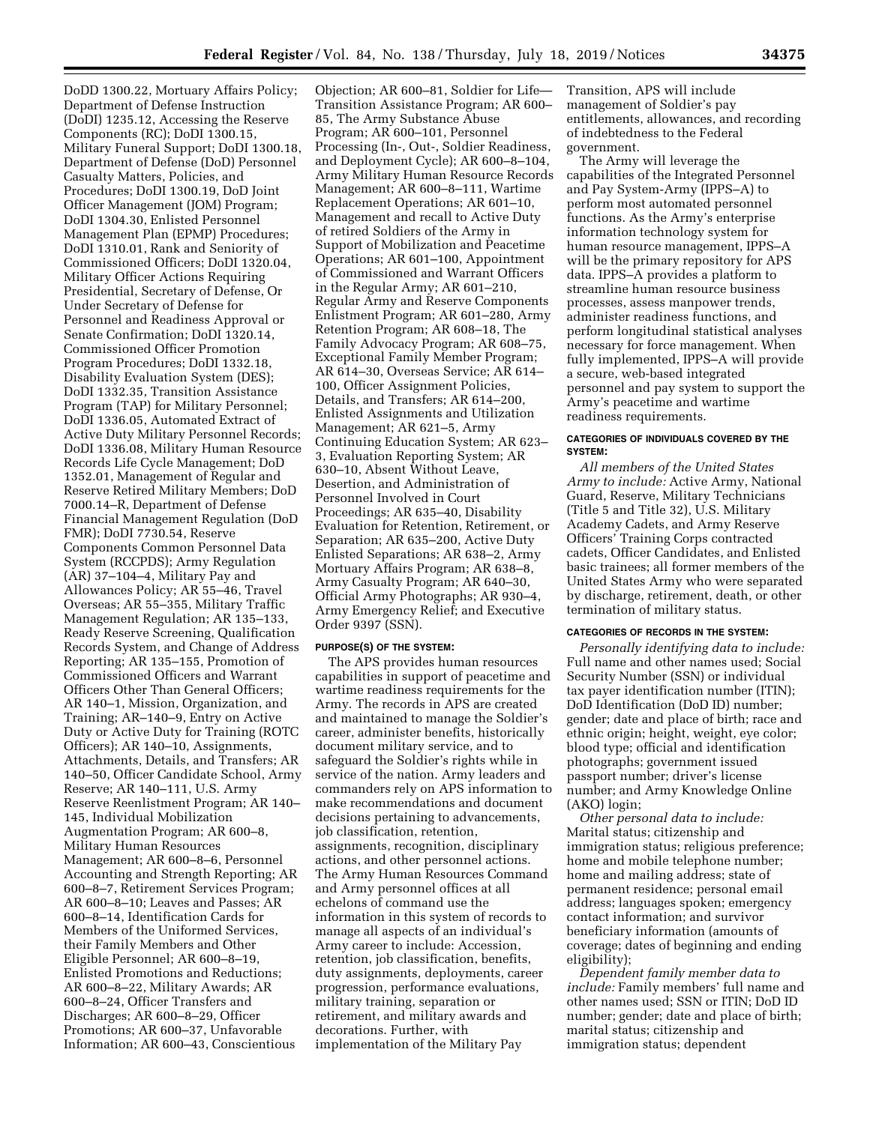DoDD 1300.22, Mortuary Affairs Policy; Department of Defense Instruction (DoDI) 1235.12, Accessing the Reserve Components (RC); DoDI 1300.15, Military Funeral Support; DoDI 1300.18, Department of Defense (DoD) Personnel Casualty Matters, Policies, and Procedures; DoDI 1300.19, DoD Joint Officer Management (JOM) Program; DoDI 1304.30, Enlisted Personnel Management Plan (EPMP) Procedures; DoDI 1310.01, Rank and Seniority of Commissioned Officers; DoDI 1320.04, Military Officer Actions Requiring Presidential, Secretary of Defense, Or Under Secretary of Defense for Personnel and Readiness Approval or Senate Confirmation; DoDI 1320.14, Commissioned Officer Promotion Program Procedures; DoDI 1332.18, Disability Evaluation System (DES); DoDI 1332.35, Transition Assistance Program (TAP) for Military Personnel; DoDI 1336.05, Automated Extract of Active Duty Military Personnel Records; DoDI 1336.08, Military Human Resource Records Life Cycle Management; DoD 1352.01, Management of Regular and Reserve Retired Military Members; DoD 7000.14–R, Department of Defense Financial Management Regulation (DoD FMR); DoDI 7730.54, Reserve Components Common Personnel Data System (RCCPDS); Army Regulation (AR) 37–104–4, Military Pay and Allowances Policy; AR 55–46, Travel Overseas; AR 55–355, Military Traffic Management Regulation; AR 135–133, Ready Reserve Screening, Qualification Records System, and Change of Address Reporting; AR 135–155, Promotion of Commissioned Officers and Warrant Officers Other Than General Officers; AR 140–1, Mission, Organization, and Training; AR–140–9, Entry on Active Duty or Active Duty for Training (ROTC Officers); AR 140-10, Assignments, Attachments, Details, and Transfers; AR 140–50, Officer Candidate School, Army Reserve; AR 140–111, U.S. Army Reserve Reenlistment Program; AR 140– 145, Individual Mobilization Augmentation Program; AR 600–8, Military Human Resources Management; AR 600–8–6, Personnel Accounting and Strength Reporting; AR 600–8–7, Retirement Services Program; AR 600–8–10; Leaves and Passes; AR 600–8–14, Identification Cards for Members of the Uniformed Services, their Family Members and Other Eligible Personnel; AR 600–8–19, Enlisted Promotions and Reductions; AR 600–8–22, Military Awards; AR 600–8–24, Officer Transfers and Discharges; AR 600–8–29, Officer Promotions; AR 600–37, Unfavorable Information; AR 600–43, Conscientious

Objection; AR 600–81, Soldier for Life— Transition Assistance Program; AR 600– 85, The Army Substance Abuse Program; AR 600–101, Personnel Processing (In-, Out-, Soldier Readiness, and Deployment Cycle); AR 600–8–104, Army Military Human Resource Records Management; AR 600–8–111, Wartime Replacement Operations; AR 601–10, Management and recall to Active Duty of retired Soldiers of the Army in Support of Mobilization and Peacetime Operations; AR 601–100, Appointment of Commissioned and Warrant Officers in the Regular Army; AR 601–210, Regular Army and Reserve Components Enlistment Program; AR 601–280, Army Retention Program; AR 608–18, The Family Advocacy Program; AR 608–75, Exceptional Family Member Program; AR 614–30, Overseas Service; AR 614– 100, Officer Assignment Policies, Details, and Transfers; AR 614–200, Enlisted Assignments and Utilization Management; AR 621–5, Army Continuing Education System; AR 623– 3, Evaluation Reporting System; AR 630–10, Absent Without Leave, Desertion, and Administration of Personnel Involved in Court Proceedings; AR 635–40, Disability Evaluation for Retention, Retirement, or Separation; AR 635–200, Active Duty Enlisted Separations; AR 638–2, Army Mortuary Affairs Program; AR 638–8, Army Casualty Program; AR 640–30, Official Army Photographs; AR 930–4, Army Emergency Relief; and Executive Order 9397 (SSN).

## **PURPOSE(S) OF THE SYSTEM:**

The APS provides human resources capabilities in support of peacetime and wartime readiness requirements for the Army. The records in APS are created and maintained to manage the Soldier's career, administer benefits, historically document military service, and to safeguard the Soldier's rights while in service of the nation. Army leaders and commanders rely on APS information to make recommendations and document decisions pertaining to advancements, job classification, retention, assignments, recognition, disciplinary actions, and other personnel actions. The Army Human Resources Command and Army personnel offices at all echelons of command use the information in this system of records to manage all aspects of an individual's Army career to include: Accession, retention, job classification, benefits, duty assignments, deployments, career progression, performance evaluations, military training, separation or retirement, and military awards and decorations. Further, with implementation of the Military Pay

Transition, APS will include management of Soldier's pay entitlements, allowances, and recording of indebtedness to the Federal government.

The Army will leverage the capabilities of the Integrated Personnel and Pay System-Army (IPPS–A) to perform most automated personnel functions. As the Army's enterprise information technology system for human resource management, IPPS–A will be the primary repository for APS data. IPPS–A provides a platform to streamline human resource business processes, assess manpower trends, administer readiness functions, and perform longitudinal statistical analyses necessary for force management. When fully implemented, IPPS–A will provide a secure, web-based integrated personnel and pay system to support the Army's peacetime and wartime readiness requirements.

### **CATEGORIES OF INDIVIDUALS COVERED BY THE SYSTEM:**

*All members of the United States Army to include:* Active Army, National Guard, Reserve, Military Technicians (Title 5 and Title 32), U.S. Military Academy Cadets, and Army Reserve Officers' Training Corps contracted cadets, Officer Candidates, and Enlisted basic trainees; all former members of the United States Army who were separated by discharge, retirement, death, or other termination of military status.

### **CATEGORIES OF RECORDS IN THE SYSTEM:**

*Personally identifying data to include:*  Full name and other names used; Social Security Number (SSN) or individual tax payer identification number (ITIN); DoD Identification (DoD ID) number; gender; date and place of birth; race and ethnic origin; height, weight, eye color; blood type; official and identification photographs; government issued passport number; driver's license number; and Army Knowledge Online (AKO) login;

*Other personal data to include:*  Marital status; citizenship and immigration status; religious preference; home and mobile telephone number; home and mailing address; state of permanent residence; personal email address; languages spoken; emergency contact information; and survivor beneficiary information (amounts of coverage; dates of beginning and ending eligibility);

*Dependent family member data to include:* Family members' full name and other names used; SSN or ITIN; DoD ID number; gender; date and place of birth; marital status; citizenship and immigration status; dependent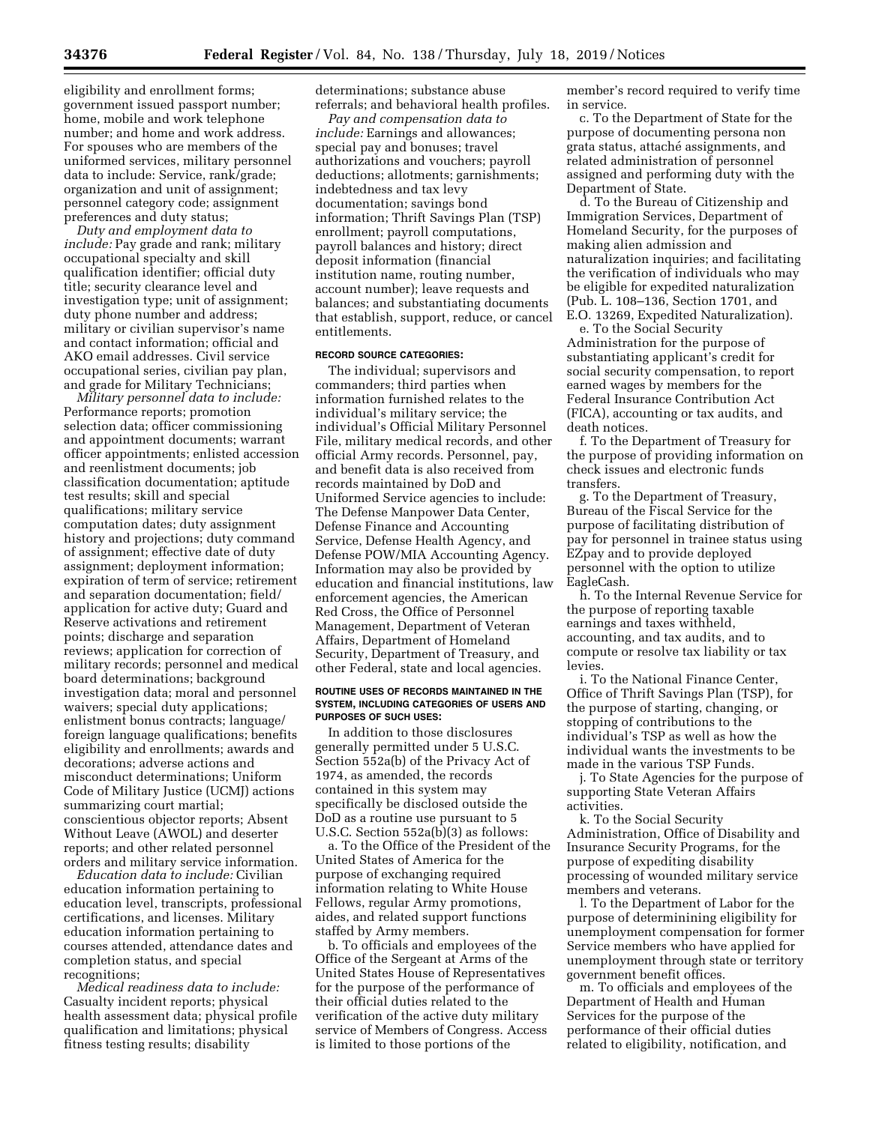eligibility and enrollment forms; government issued passport number; home, mobile and work telephone number; and home and work address. For spouses who are members of the uniformed services, military personnel data to include: Service, rank/grade; organization and unit of assignment; personnel category code; assignment preferences and duty status;

*Duty and employment data to include:* Pay grade and rank; military occupational specialty and skill qualification identifier; official duty title; security clearance level and investigation type; unit of assignment; duty phone number and address; military or civilian supervisor's name and contact information; official and AKO email addresses. Civil service occupational series, civilian pay plan, and grade for Military Technicians;

*Military personnel data to include:*  Performance reports; promotion selection data; officer commissioning and appointment documents; warrant officer appointments; enlisted accession and reenlistment documents; job classification documentation; aptitude test results; skill and special qualifications; military service computation dates; duty assignment history and projections; duty command of assignment; effective date of duty assignment; deployment information; expiration of term of service; retirement and separation documentation; field/ application for active duty; Guard and Reserve activations and retirement points; discharge and separation reviews; application for correction of military records; personnel and medical board determinations; background investigation data; moral and personnel waivers; special duty applications; enlistment bonus contracts; language/ foreign language qualifications; benefits eligibility and enrollments; awards and decorations; adverse actions and misconduct determinations; Uniform Code of Military Justice (UCMJ) actions summarizing court martial; conscientious objector reports; Absent Without Leave (AWOL) and deserter reports; and other related personnel orders and military service information.

*Education data to include:* Civilian education information pertaining to education level, transcripts, professional certifications, and licenses. Military education information pertaining to courses attended, attendance dates and completion status, and special recognitions;

*Medical readiness data to include:*  Casualty incident reports; physical health assessment data; physical profile qualification and limitations; physical fitness testing results; disability

determinations; substance abuse referrals; and behavioral health profiles.

*Pay and compensation data to include:* Earnings and allowances; special pay and bonuses; travel authorizations and vouchers; payroll deductions; allotments; garnishments; indebtedness and tax levy documentation; savings bond information; Thrift Savings Plan (TSP) enrollment; payroll computations, payroll balances and history; direct deposit information (financial institution name, routing number, account number); leave requests and balances; and substantiating documents that establish, support, reduce, or cancel entitlements.

#### **RECORD SOURCE CATEGORIES:**

The individual; supervisors and commanders; third parties when information furnished relates to the individual's military service; the individual's Official Military Personnel File, military medical records, and other official Army records. Personnel, pay, and benefit data is also received from records maintained by DoD and Uniformed Service agencies to include: The Defense Manpower Data Center, Defense Finance and Accounting Service, Defense Health Agency, and Defense POW/MIA Accounting Agency. Information may also be provided by education and financial institutions, law enforcement agencies, the American Red Cross, the Office of Personnel Management, Department of Veteran Affairs, Department of Homeland Security, Department of Treasury, and other Federal, state and local agencies.

#### **ROUTINE USES OF RECORDS MAINTAINED IN THE SYSTEM, INCLUDING CATEGORIES OF USERS AND PURPOSES OF SUCH USES:**

In addition to those disclosures generally permitted under 5 U.S.C. Section 552a(b) of the Privacy Act of 1974, as amended, the records contained in this system may specifically be disclosed outside the DoD as a routine use pursuant to 5 U.S.C. Section 552a(b)(3) as follows:

a. To the Office of the President of the United States of America for the purpose of exchanging required information relating to White House Fellows, regular Army promotions, aides, and related support functions staffed by Army members.

b. To officials and employees of the Office of the Sergeant at Arms of the United States House of Representatives for the purpose of the performance of their official duties related to the verification of the active duty military service of Members of Congress. Access is limited to those portions of the

member's record required to verify time in service.

c. To the Department of State for the purpose of documenting persona non grata status, attaché assignments, and related administration of personnel assigned and performing duty with the Department of State.

d. To the Bureau of Citizenship and Immigration Services, Department of Homeland Security, for the purposes of making alien admission and naturalization inquiries; and facilitating the verification of individuals who may be eligible for expedited naturalization (Pub. L. 108–136, Section 1701, and E.O. 13269, Expedited Naturalization).

e. To the Social Security Administration for the purpose of substantiating applicant's credit for social security compensation, to report earned wages by members for the Federal Insurance Contribution Act (FICA), accounting or tax audits, and death notices.

f. To the Department of Treasury for the purpose of providing information on check issues and electronic funds transfers.

g. To the Department of Treasury, Bureau of the Fiscal Service for the purpose of facilitating distribution of pay for personnel in trainee status using EZpay and to provide deployed personnel with the option to utilize EagleCash.

h. To the Internal Revenue Service for the purpose of reporting taxable earnings and taxes withheld, accounting, and tax audits, and to compute or resolve tax liability or tax levies.

i. To the National Finance Center, Office of Thrift Savings Plan (TSP), for the purpose of starting, changing, or stopping of contributions to the individual's TSP as well as how the individual wants the investments to be made in the various TSP Funds.

j. To State Agencies for the purpose of supporting State Veteran Affairs activities.

k. To the Social Security Administration, Office of Disability and Insurance Security Programs, for the purpose of expediting disability processing of wounded military service members and veterans.

l. To the Department of Labor for the purpose of determinining eligibility for unemployment compensation for former Service members who have applied for unemployment through state or territory government benefit offices.

m. To officials and employees of the Department of Health and Human Services for the purpose of the performance of their official duties related to eligibility, notification, and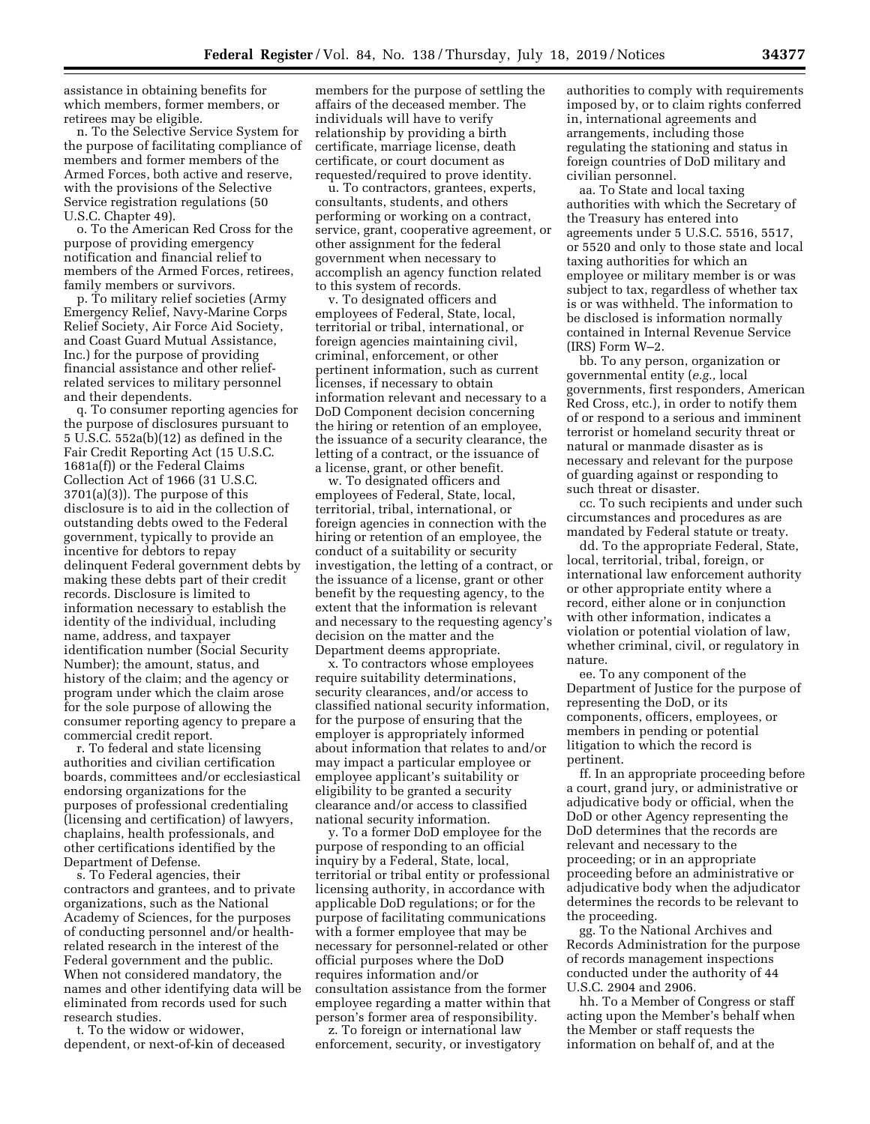assistance in obtaining benefits for which members, former members, or retirees may be eligible.

n. To the Selective Service System for the purpose of facilitating compliance of members and former members of the Armed Forces, both active and reserve, with the provisions of the Selective Service registration regulations (50 U.S.C. Chapter 49).

o. To the American Red Cross for the purpose of providing emergency notification and financial relief to members of the Armed Forces, retirees, family members or survivors.

p. To military relief societies (Army Emergency Relief, Navy-Marine Corps Relief Society, Air Force Aid Society, and Coast Guard Mutual Assistance, Inc.) for the purpose of providing financial assistance and other reliefrelated services to military personnel and their dependents.

q. To consumer reporting agencies for the purpose of disclosures pursuant to 5 U.S.C. 552a(b)(12) as defined in the Fair Credit Reporting Act (15 U.S.C. 1681a(f)) or the Federal Claims Collection Act of 1966 (31 U.S.C. 3701(a)(3)). The purpose of this disclosure is to aid in the collection of outstanding debts owed to the Federal government, typically to provide an incentive for debtors to repay delinquent Federal government debts by making these debts part of their credit records. Disclosure is limited to information necessary to establish the identity of the individual, including name, address, and taxpayer identification number (Social Security Number); the amount, status, and history of the claim; and the agency or program under which the claim arose for the sole purpose of allowing the consumer reporting agency to prepare a commercial credit report.

r. To federal and state licensing authorities and civilian certification boards, committees and/or ecclesiastical endorsing organizations for the purposes of professional credentialing (licensing and certification) of lawyers, chaplains, health professionals, and other certifications identified by the Department of Defense.

s. To Federal agencies, their contractors and grantees, and to private organizations, such as the National Academy of Sciences, for the purposes of conducting personnel and/or healthrelated research in the interest of the Federal government and the public. When not considered mandatory, the names and other identifying data will be eliminated from records used for such research studies.

t. To the widow or widower, dependent, or next-of-kin of deceased

members for the purpose of settling the affairs of the deceased member. The individuals will have to verify relationship by providing a birth certificate, marriage license, death certificate, or court document as requested/required to prove identity.

u. To contractors, grantees, experts, consultants, students, and others performing or working on a contract, service, grant, cooperative agreement, or other assignment for the federal government when necessary to accomplish an agency function related to this system of records.

v. To designated officers and employees of Federal, State, local, territorial or tribal, international, or foreign agencies maintaining civil, criminal, enforcement, or other pertinent information, such as current licenses, if necessary to obtain information relevant and necessary to a DoD Component decision concerning the hiring or retention of an employee, the issuance of a security clearance, the letting of a contract, or the issuance of a license, grant, or other benefit.

w. To designated officers and employees of Federal, State, local, territorial, tribal, international, or foreign agencies in connection with the hiring or retention of an employee, the conduct of a suitability or security investigation, the letting of a contract, or the issuance of a license, grant or other benefit by the requesting agency, to the extent that the information is relevant and necessary to the requesting agency's decision on the matter and the Department deems appropriate.

x. To contractors whose employees require suitability determinations, security clearances, and/or access to classified national security information, for the purpose of ensuring that the employer is appropriately informed about information that relates to and/or may impact a particular employee or employee applicant's suitability or eligibility to be granted a security clearance and/or access to classified national security information.

y. To a former DoD employee for the purpose of responding to an official inquiry by a Federal, State, local, territorial or tribal entity or professional licensing authority, in accordance with applicable DoD regulations; or for the purpose of facilitating communications with a former employee that may be necessary for personnel-related or other official purposes where the DoD requires information and/or consultation assistance from the former employee regarding a matter within that person's former area of responsibility.

z. To foreign or international law enforcement, security, or investigatory authorities to comply with requirements imposed by, or to claim rights conferred in, international agreements and arrangements, including those regulating the stationing and status in foreign countries of DoD military and civilian personnel.

aa. To State and local taxing authorities with which the Secretary of the Treasury has entered into agreements under 5 U.S.C. 5516, 5517, or 5520 and only to those state and local taxing authorities for which an employee or military member is or was subject to tax, regardless of whether tax is or was withheld. The information to be disclosed is information normally contained in Internal Revenue Service (IRS) Form W–2.

bb. To any person, organization or governmental entity (*e.g.,* local governments, first responders, American Red Cross, etc.), in order to notify them of or respond to a serious and imminent terrorist or homeland security threat or natural or manmade disaster as is necessary and relevant for the purpose of guarding against or responding to such threat or disaster.

cc. To such recipients and under such circumstances and procedures as are mandated by Federal statute or treaty.

dd. To the appropriate Federal, State, local, territorial, tribal, foreign, or international law enforcement authority or other appropriate entity where a record, either alone or in conjunction with other information, indicates a violation or potential violation of law, whether criminal, civil, or regulatory in nature.

ee. To any component of the Department of Justice for the purpose of representing the DoD, or its components, officers, employees, or members in pending or potential litigation to which the record is pertinent.

ff. In an appropriate proceeding before a court, grand jury, or administrative or adjudicative body or official, when the DoD or other Agency representing the DoD determines that the records are relevant and necessary to the proceeding; or in an appropriate proceeding before an administrative or adjudicative body when the adjudicator determines the records to be relevant to the proceeding.

gg. To the National Archives and Records Administration for the purpose of records management inspections conducted under the authority of 44 U.S.C. 2904 and 2906.

hh. To a Member of Congress or staff acting upon the Member's behalf when the Member or staff requests the information on behalf of, and at the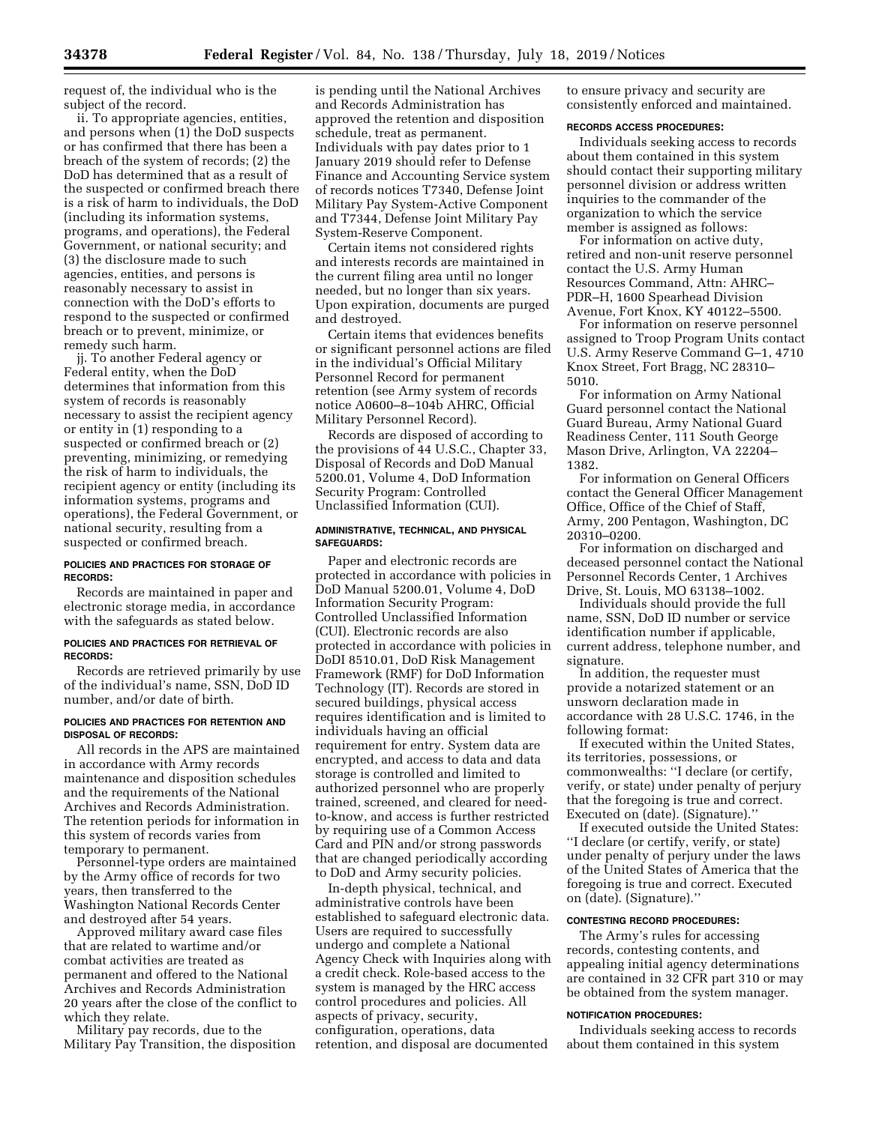request of, the individual who is the subject of the record.

ii. To appropriate agencies, entities, and persons when (1) the DoD suspects or has confirmed that there has been a breach of the system of records; (2) the DoD has determined that as a result of the suspected or confirmed breach there is a risk of harm to individuals, the DoD (including its information systems, programs, and operations), the Federal Government, or national security; and (3) the disclosure made to such agencies, entities, and persons is reasonably necessary to assist in connection with the DoD's efforts to respond to the suspected or confirmed breach or to prevent, minimize, or remedy such harm.

jj. To another Federal agency or Federal entity, when the DoD determines that information from this system of records is reasonably necessary to assist the recipient agency or entity in (1) responding to a suspected or confirmed breach or (2) preventing, minimizing, or remedying the risk of harm to individuals, the recipient agency or entity (including its information systems, programs and operations), the Federal Government, or national security, resulting from a suspected or confirmed breach.

### **POLICIES AND PRACTICES FOR STORAGE OF RECORDS:**

Records are maintained in paper and electronic storage media, in accordance with the safeguards as stated below.

### **POLICIES AND PRACTICES FOR RETRIEVAL OF RECORDS:**

Records are retrieved primarily by use of the individual's name, SSN, DoD ID number, and/or date of birth.

#### **POLICIES AND PRACTICES FOR RETENTION AND DISPOSAL OF RECORDS:**

All records in the APS are maintained in accordance with Army records maintenance and disposition schedules and the requirements of the National Archives and Records Administration. The retention periods for information in this system of records varies from temporary to permanent.

Personnel-type orders are maintained by the Army office of records for two years, then transferred to the Washington National Records Center and destroyed after 54 years.

Approved military award case files that are related to wartime and/or combat activities are treated as permanent and offered to the National Archives and Records Administration 20 years after the close of the conflict to which they relate.

Military pay records, due to the Military Pay Transition, the disposition

is pending until the National Archives and Records Administration has approved the retention and disposition schedule, treat as permanent. Individuals with pay dates prior to 1 January 2019 should refer to Defense Finance and Accounting Service system of records notices T7340, Defense Joint Military Pay System-Active Component and T7344, Defense Joint Military Pay System-Reserve Component.

Certain items not considered rights and interests records are maintained in the current filing area until no longer needed, but no longer than six years. Upon expiration, documents are purged and destroyed.

Certain items that evidences benefits or significant personnel actions are filed in the individual's Official Military Personnel Record for permanent retention (see Army system of records notice A0600–8–104b AHRC, Official Military Personnel Record).

Records are disposed of according to the provisions of 44 U.S.C., Chapter 33, Disposal of Records and DoD Manual 5200.01, Volume 4, DoD Information Security Program: Controlled Unclassified Information (CUI).

#### **ADMINISTRATIVE, TECHNICAL, AND PHYSICAL SAFEGUARDS:**

Paper and electronic records are protected in accordance with policies in DoD Manual 5200.01, Volume 4, DoD Information Security Program: Controlled Unclassified Information (CUI). Electronic records are also protected in accordance with policies in DoDI 8510.01, DoD Risk Management Framework (RMF) for DoD Information Technology (IT). Records are stored in secured buildings, physical access requires identification and is limited to individuals having an official requirement for entry. System data are encrypted, and access to data and data storage is controlled and limited to authorized personnel who are properly trained, screened, and cleared for needto-know, and access is further restricted by requiring use of a Common Access Card and PIN and/or strong passwords that are changed periodically according to DoD and Army security policies.

In-depth physical, technical, and administrative controls have been established to safeguard electronic data. Users are required to successfully undergo and complete a National Agency Check with Inquiries along with a credit check. Role-based access to the system is managed by the HRC access control procedures and policies. All aspects of privacy, security, configuration, operations, data retention, and disposal are documented

to ensure privacy and security are consistently enforced and maintained.

### **RECORDS ACCESS PROCEDURES:**

Individuals seeking access to records about them contained in this system should contact their supporting military personnel division or address written inquiries to the commander of the organization to which the service member is assigned as follows:

For information on active duty, retired and non-unit reserve personnel contact the U.S. Army Human Resources Command, Attn: AHRC– PDR–H, 1600 Spearhead Division Avenue, Fort Knox, KY 40122–5500.

For information on reserve personnel assigned to Troop Program Units contact U.S. Army Reserve Command G–1, 4710 Knox Street, Fort Bragg, NC 28310– 5010.

For information on Army National Guard personnel contact the National Guard Bureau, Army National Guard Readiness Center, 111 South George Mason Drive, Arlington, VA 22204– 1382.

For information on General Officers contact the General Officer Management Office, Office of the Chief of Staff, Army, 200 Pentagon, Washington, DC 20310–0200.

For information on discharged and deceased personnel contact the National Personnel Records Center, 1 Archives Drive, St. Louis, MO 63138–1002.

Individuals should provide the full name, SSN, DoD ID number or service identification number if applicable, current address, telephone number, and signature.

In addition, the requester must provide a notarized statement or an unsworn declaration made in accordance with 28 U.S.C. 1746, in the following format:

If executed within the United States, its territories, possessions, or commonwealths: ''I declare (or certify, verify, or state) under penalty of perjury that the foregoing is true and correct. Executed on (date). (Signature).''

If executed outside the United States: ''I declare (or certify, verify, or state) under penalty of perjury under the laws of the United States of America that the foregoing is true and correct. Executed on (date). (Signature).''

### **CONTESTING RECORD PROCEDURES:**

The Army's rules for accessing records, contesting contents, and appealing initial agency determinations are contained in 32 CFR part 310 or may be obtained from the system manager.

#### **NOTIFICATION PROCEDURES:**

Individuals seeking access to records about them contained in this system